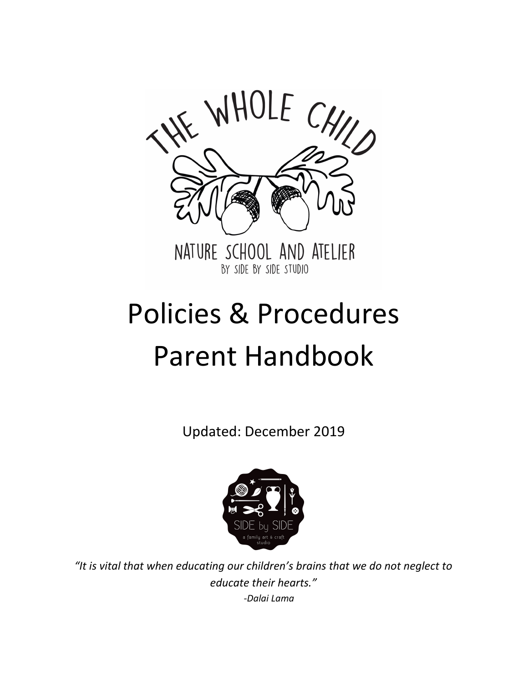

# Policies & Procedures Parent Handbook

Updated: December 2019



*"It is vital that when educating our children's brains that we do not neglect to educate their hearts." -Dalai Lama*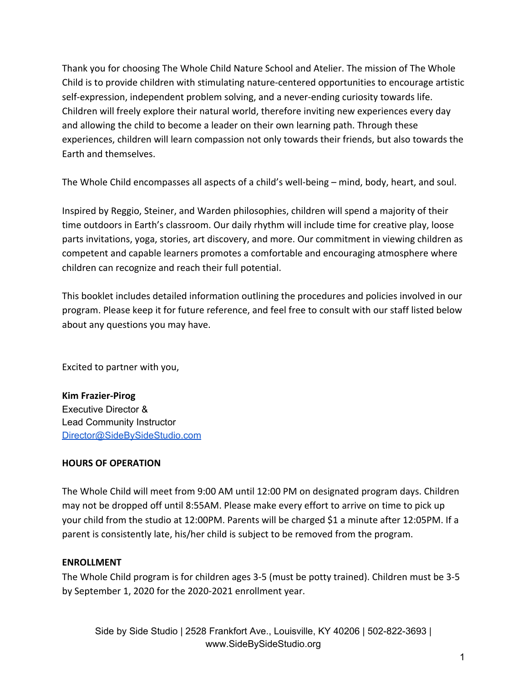Thank you for choosing The Whole Child Nature School and Atelier. The mission of The Whole Child is to provide children with stimulating nature-centered opportunities to encourage artistic self-expression, independent problem solving, and a never-ending curiosity towards life. Children will freely explore their natural world, therefore inviting new experiences every day and allowing the child to become a leader on their own learning path. Through these experiences, children will learn compassion not only towards their friends, but also towards the Earth and themselves.

The Whole Child encompasses all aspects of a child's well-being – mind, body, heart, and soul.

Inspired by Reggio, Steiner, and Warden philosophies, children will spend a majority of their time outdoors in Earth's classroom. Our daily rhythm will include time for creative play, loose parts invitations, yoga, stories, art discovery, and more. Our commitment in viewing children as competent and capable learners promotes a comfortable and encouraging atmosphere where children can recognize and reach their full potential.

This booklet includes detailed information outlining the procedures and policies involved in our program. Please keep it for future reference, and feel free to consult with our staff listed below about any questions you may have.

Excited to partner with you,

**Kim Frazier-Pirog** Executive Director & Lead Community Instructor [Director@SideBySideStudio.com](mailto:Director@SideBySideStudio.com)

### **HOURS OF OPERATION**

The Whole Child will meet from 9:00 AM until 12:00 PM on designated program days. Children may not be dropped off until 8:55AM. Please make every effort to arrive on time to pick up your child from the studio at 12:00PM. Parents will be charged \$1 a minute after 12:05PM. If a parent is consistently late, his/her child is subject to be removed from the program.

### **ENROLLMENT**

The Whole Child program is for children ages 3-5 (must be potty trained). Children must be 3-5 by September 1, 2020 for the 2020-2021 enrollment year.

Side by Side Studio | 2528 Frankfort Ave., Louisville, KY 40206 | 502-822-3693 | www.SideBySideStudio.org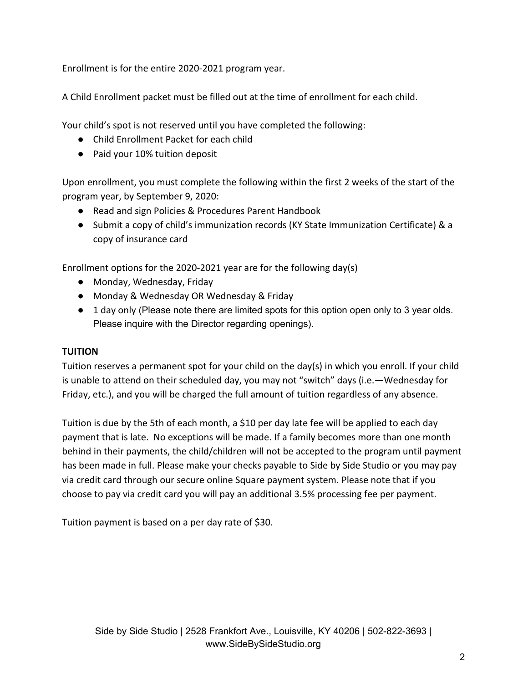Enrollment is for the entire 2020-2021 program year.

A Child Enrollment packet must be filled out at the time of enrollment for each child.

Your child's spot is not reserved until you have completed the following:

- Child Enrollment Packet for each child
- Paid your 10% tuition deposit

Upon enrollment, you must complete the following within the first 2 weeks of the start of the program year, by September 9, 2020:

- Read and sign Policies & Procedures Parent Handbook
- Submit a copy of child's immunization records (KY State Immunization Certificate) & a copy of insurance card

Enrollment options for the 2020-2021 year are for the following day(s)

- Monday, Wednesday, Friday
- Monday & Wednesday OR Wednesday & Friday
- 1 day only (Please note there are limited spots for this option open only to 3 year olds. Please inquire with the Director regarding openings).

### **TUITION**

Tuition reserves a permanent spot for your child on the day(s) in which you enroll. If your child is unable to attend on their scheduled day, you may not "switch" days (i.e.—Wednesday for Friday, etc.), and you will be charged the full amount of tuition regardless of any absence.

Tuition is due by the 5th of each month, a \$10 per day late fee will be applied to each day payment that is late. No exceptions will be made. If a family becomes more than one month behind in their payments, the child/children will not be accepted to the program until payment has been made in full. Please make your checks payable to Side by Side Studio or you may pay via credit card through our secure online Square payment system. Please note that if you choose to pay via credit card you will pay an additional 3.5% processing fee per payment.

Tuition payment is based on a per day rate of \$30.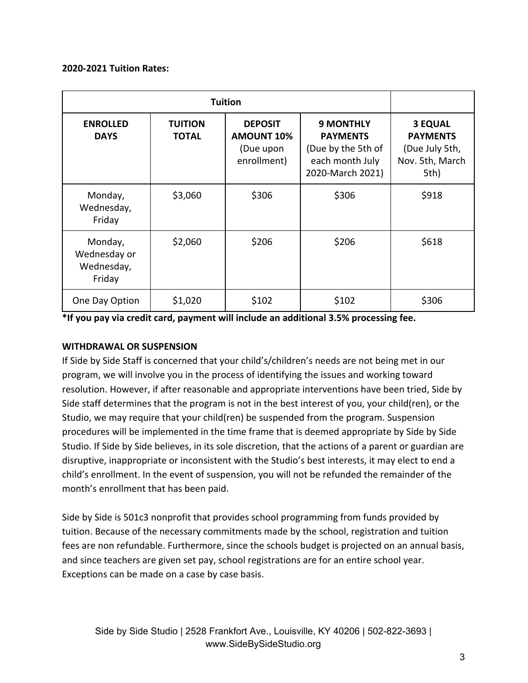### **2020-2021 Tuition Rates:**

|                                                 | <b>Tuition</b>                 |                                                                 |                                                                                                  |                                                                                |  |  |  |  |
|-------------------------------------------------|--------------------------------|-----------------------------------------------------------------|--------------------------------------------------------------------------------------------------|--------------------------------------------------------------------------------|--|--|--|--|
| <b>ENROLLED</b><br><b>DAYS</b>                  | <b>TUITION</b><br><b>TOTAL</b> | <b>DEPOSIT</b><br><b>AMOUNT 10%</b><br>(Due upon<br>enrollment) | <b>9 MONTHLY</b><br><b>PAYMENTS</b><br>(Due by the 5th of<br>each month July<br>2020-March 2021) | <b>3 EQUAL</b><br><b>PAYMENTS</b><br>(Due July 5th,<br>Nov. 5th, March<br>5th) |  |  |  |  |
| Monday,<br>Wednesday,<br>Friday                 | \$3,060                        | \$306                                                           | \$306                                                                                            | \$918                                                                          |  |  |  |  |
| Monday,<br>Wednesday or<br>Wednesday,<br>Friday | \$2,060                        | \$206                                                           | \$206                                                                                            | \$618                                                                          |  |  |  |  |
| One Day Option                                  | \$1,020                        | \$102                                                           | \$102                                                                                            | \$306                                                                          |  |  |  |  |

**\*If you pay via credit card, payment will include an additional 3.5% processing fee.**

### **WITHDRAWAL OR SUSPENSION**

If Side by Side Staff is concerned that your child's/children's needs are not being met in our program, we will involve you in the process of identifying the issues and working toward resolution. However, if after reasonable and appropriate interventions have been tried, Side by Side staff determines that the program is not in the best interest of you, your child(ren), or the Studio, we may require that your child(ren) be suspended from the program. Suspension procedures will be implemented in the time frame that is deemed appropriate by Side by Side Studio. If Side by Side believes, in its sole discretion, that the actions of a parent or guardian are disruptive, inappropriate or inconsistent with the Studio's best interests, it may elect to end a child's enrollment. In the event of suspension, you will not be refunded the remainder of the month's enrollment that has been paid.

Side by Side is 501c3 nonprofit that provides school programming from funds provided by tuition. Because of the necessary commitments made by the school, registration and tuition fees are non refundable. Furthermore, since the schools budget is projected on an annual basis, and since teachers are given set pay, school registrations are for an entire school year. Exceptions can be made on a case by case basis.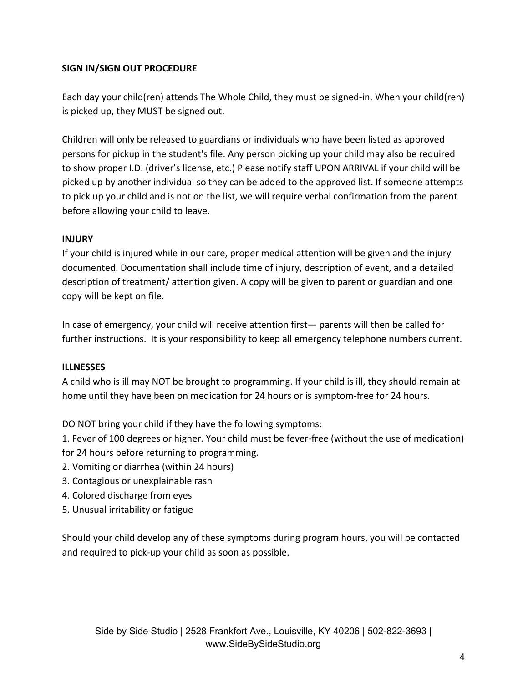# **SIGN IN/SIGN OUT PROCEDURE**

Each day your child(ren) attends The Whole Child, they must be signed-in. When your child(ren) is picked up, they MUST be signed out.

Children will only be released to guardians or individuals who have been listed as approved persons for pickup in the student's file. Any person picking up your child may also be required to show proper I.D. (driver's license, etc.) Please notify staff UPON ARRIVAL if your child will be picked up by another individual so they can be added to the approved list. If someone attempts to pick up your child and is not on the list, we will require verbal confirmation from the parent before allowing your child to leave.

# **INJURY**

If your child is injured while in our care, proper medical attention will be given and the injury documented. Documentation shall include time of injury, description of event, and a detailed description of treatment/ attention given. A copy will be given to parent or guardian and one copy will be kept on file.

In case of emergency, your child will receive attention first— parents will then be called for further instructions. It is your responsibility to keep all emergency telephone numbers current.

# **ILLNESSES**

A child who is ill may NOT be brought to programming. If your child is ill, they should remain at home until they have been on medication for 24 hours or is symptom-free for 24 hours.

DO NOT bring your child if they have the following symptoms:

1. Fever of 100 degrees or higher. Your child must be fever-free (without the use of medication) for 24 hours before returning to programming.

- 2. Vomiting or diarrhea (within 24 hours)
- 3. Contagious or unexplainable rash
- 4. Colored discharge from eyes
- 5. Unusual irritability or fatigue

Should your child develop any of these symptoms during program hours, you will be contacted and required to pick-up your child as soon as possible.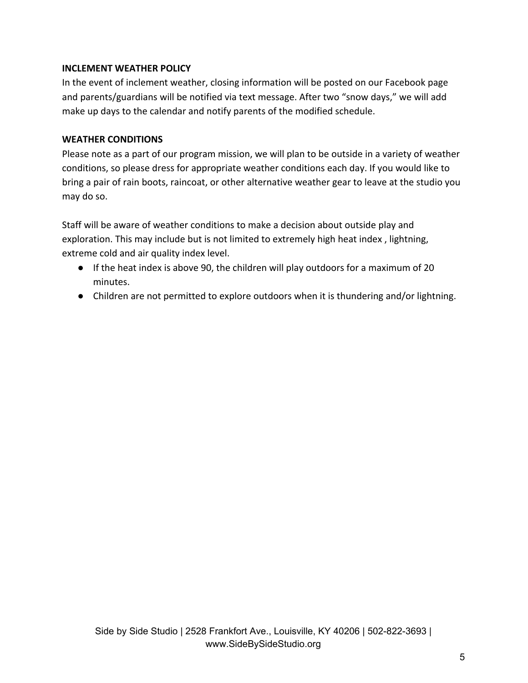### **INCLEMENT WEATHER POLICY**

In the event of inclement weather, closing information will be posted on our Facebook page and parents/guardians will be notified via text message. After two "snow days," we will add make up days to the calendar and notify parents of the modified schedule.

# **WEATHER CONDITIONS**

Please note as a part of our program mission, we will plan to be outside in a variety of weather conditions, so please dress for appropriate weather conditions each day. If you would like to bring a pair of rain boots, raincoat, or other alternative weather gear to leave at the studio you may do so.

Staff will be aware of weather conditions to make a decision about outside play and exploration. This may include but is not limited to extremely high heat index , lightning, extreme cold and air quality index level.

- If the heat index is above 90, the children will play outdoors for a maximum of 20 minutes.
- Children are not permitted to explore outdoors when it is thundering and/or lightning.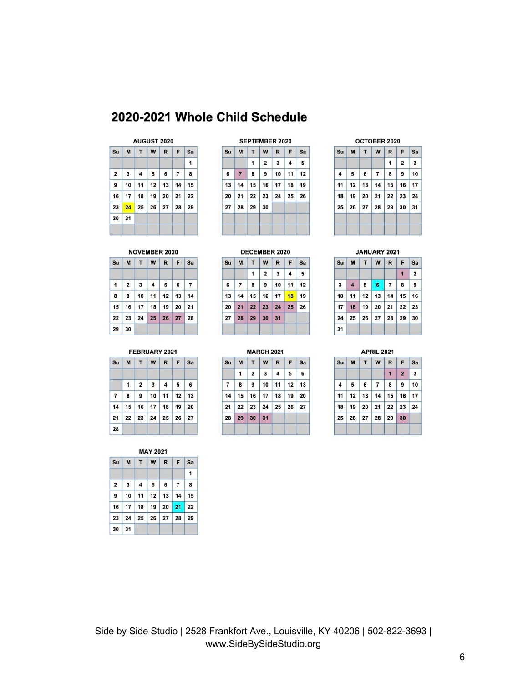# 2020-2021 Whole Child Schedule

### AUGUST 2020

|              |  | Su   M   T   W   R   F   Sa                   |  |   |
|--------------|--|-----------------------------------------------|--|---|
|              |  |                                               |  | 1 |
|              |  | $2 \mid 3 \mid 4 \mid 5 \mid 6 \mid 7 \mid 8$ |  |   |
|              |  | 9   10   11   12   13   14   15               |  |   |
|              |  | $16$ 17 18 19 20 21 22                        |  |   |
|              |  | 23 24 25 26 27 28 29                          |  |   |
| $30 \mid 31$ |  |                                               |  |   |

#### SEPTEMBER 2020

| Su | M              | T | W              |                               | $R$ $F$ | Sa |
|----|----------------|---|----------------|-------------------------------|---------|----|
|    |                | 1 | $\overline{2}$ | $\overline{\mathbf{3}}$       | 4       | 5  |
| 6  | $\overline{7}$ | 8 | 9              | $10$ 11 12                    |         |    |
| 13 |                |   |                | $14$   15   16   17   18   19 |         |    |
| 20 |                |   |                | 21 22 23 24 25 26             |         |    |
|    | 27 28 29 30    |   |                |                               |         |    |

#### OCTOBER 2020

|                |                      |         | Su M T W R F Sa                  |                |    |
|----------------|----------------------|---------|----------------------------------|----------------|----|
|                |                      |         | $\mathbf{1}$                     | $\overline{2}$ | 3  |
| $\overline{4}$ |                      | 5 6 7 8 |                                  | 9              | 10 |
|                |                      |         | 11   12   13   14   15   16   17 |                |    |
|                |                      |         | 18 19 20 21 22 23 24             |                |    |
|                | 25 26 27 28 29 30 31 |         |                                  |                |    |

### NOVEMBER 2020

| Su           |                |  | M T W R F Sa           |   |
|--------------|----------------|--|------------------------|---|
| $\mathbf{1}$ | $\overline{2}$ |  | 3456                   | 7 |
| 8            | 9              |  | $10$ 11 12 13 14       |   |
|              |                |  | $15$ 16 17 18 19 20 21 |   |
|              |                |  | 22 23 24 25 26 27 28   |   |
| 29           | 30             |  |                        |   |

# FEBRUARY 2021

|                      |  | Su   M   T   W   R   F   Sa            |  |
|----------------------|--|----------------------------------------|--|
|                      |  | $1 \mid 2 \mid 3 \mid 4 \mid 5 \mid 6$ |  |
|                      |  | $7$   8   9   10   11   12   13        |  |
|                      |  | $14$   15   16   17   18   19   20     |  |
| 21 22 23 24 25 26 27 |  |                                        |  |
| 28                   |  |                                        |  |

|                |    |    | <b>MAY 2021</b> |                 |                |    |
|----------------|----|----|-----------------|-----------------|----------------|----|
| Su             | M  | т  | W               | R               | F              | Sa |
|                |    |    |                 |                 |                | 1  |
| $\overline{2}$ | 3  | 4  | 5               | 6               | $\overline{7}$ | 8  |
| 9              | 10 | 11 | 12              | 13              | 14             | 15 |
| 16             | 17 | 18 | 19              | 20              | 21             | 22 |
| 23             | 24 | 25 | 26              | 27 <sup>1</sup> | 28             | 29 |
| 30             | 31 |    |                 |                 |                |    |

### DECEMBER 2020

|   |                |           | Su M T W R F Sa      |           |   |
|---|----------------|-----------|----------------------|-----------|---|
|   | 1              | $\vert$ 2 | $\vert$ 3            | $\vert$ 4 | 5 |
| 6 |                |           | 7 8 9 10 11 12       |           |   |
|   |                |           | 13 14 15 16 17 18 19 |           |   |
|   |                |           | 20 21 22 23 24 25 26 |           |   |
|   | 27 28 29 30 31 |           |                      |           |   |

**MARCH 2021** 

 $\boldsymbol{w}$ 

 $|17|$  ${\bf 18}$  $19$ 20

 ${\bf 24}$  ${\bf 25}$  $26$  ${\bf 27}$ 

R F Sa

Su

 $\overline{7}$  $\bf{8}$  $\pmb{9}$  $10$ 11

 $21$ 

 $\overline{28}$ 

M T

 $\mathbf{1}$  $\mathbf{2}$  $\mathbf{3}$  $\overline{\mathbf{4}}$ 5  $6\overline{6}$  $12 \mid 13$ 

 $14$  15 16

 $22 \mid 23$ 

29 30 31

### M T W R F Sa Su  $\mathbf{1}$  $\mathbf{2}$

JANUARY 2021

|    |  | 3456789                |  |  |
|----|--|------------------------|--|--|
|    |  | $10$ 11 12 13 14 15 16 |  |  |
|    |  | $17$ 18 19 20 21 22 23 |  |  |
|    |  | 24 25 26 27 28 29 30   |  |  |
| 31 |  |                        |  |  |

### **APRIL 2021**

| Su |  | <b>MTWR</b>                      | F Sa       |  |
|----|--|----------------------------------|------------|--|
|    |  | $\mathbf{1}$                     | $2 \mid 3$ |  |
| 4  |  | $5 \t6 \t7 \t8 \t9 \t10$         |            |  |
|    |  | 11   12   13   14   15   16   17 |            |  |
|    |  | 18 19 20 21 22 23 24             |            |  |
|    |  | 25 26 27 28 29 30                |            |  |

# Side by Side Studio | 2528 Frankfort Ave., Louisville, KY 40206 | 502-822-3693 | www.SideBySideStudio.org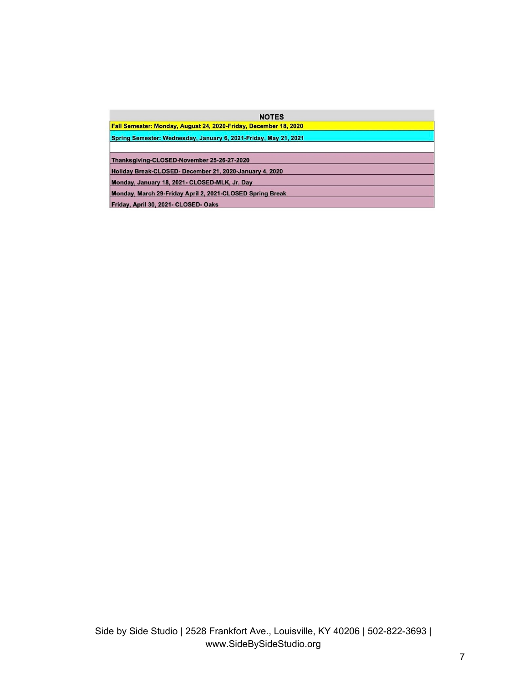| <b>NOTES</b>                                                     |  |
|------------------------------------------------------------------|--|
| Fall Semester: Monday, August 24, 2020-Friday, December 18, 2020 |  |
| Spring Semester: Wednesday, January 6, 2021-Friday, May 21, 2021 |  |
| Thanksgiving-CLOSED-November 25-26-27-2020                       |  |
| Holiday Break-CLOSED- December 21, 2020-January 4, 2020          |  |
| Monday, January 18, 2021- CLOSED-MLK, Jr. Day                    |  |
| Monday, March 29-Friday April 2, 2021-CLOSED Spring Break        |  |
| Friday, April 30, 2021- CLOSED- Oaks                             |  |